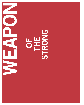# **UNG** S **STRU**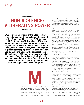WEAPON OF THE STRONG

# NON-VIOLENCE: A LIBERATING POWER

GITA DHARAMPAL-FRICK

9/11 conjures up images of the 21st century's most notorious event – devastating attacks in the United States that killed nearly 3,000 people on 11 September 2001. But almost 100 years earlier, another 9/11 saw the birth of modern satyagraha – a peaceful force sparked by Indian immigrants in Johannesburg who came together to protest against prejudice an d discrimination. Led by Mahatma Gandhi, the congregation on 11 September 1906 went on to inspire a global movement of passive resistance that rejected violence in conflict resolution. Reflecting on this first 9/11 presents an opportunity to rethink our conventional approaches to war and peace.



Modernity exemplifies the Enlightenment truths of rationality, secular progress, individualism and humanism, and underlies progress, particularly in science and technology. However, since the 19th century, our modern world has also witnessed the emergence of imperialism, militarism, and the simultaneous exploitation of large parts of the planet. Partly in reaction against these historical forces, a

number of 20th century social movements – in the East and West – adopted strategies opposed to social-economic injustice, racial inequality and violent confrontation. Above all, it was Mahatma Gandhi, a major critic of industrial modernity, who either shaped or symbolically inspired these strategies.

As the main protagonist of the Indian independence movement, Gandhi is considered a driving force behind three momentous revolutions of the 20th century – the categorical condemnation of racism, the resistance to colonialism and the rejection of political violence. Hence it is of great symbolic portent that Gandhi led a modern satyagraha – a 'truth force' movement committed to nonviolent ways to address wrongs – on 11 September 1906, in what should now be remembered as the first 9/11. The event brought together 3,000 Indians in the Empire Theatre in Johannesburg to pledge non-violent protest against discrimination. It sparked a movement that provided hope in breaking the vicious cycle of economic, political and cultural violence that characterised the heyday of imperialism. It did so by appealing, through nonviolent means, to the force of moral conscience. Gandhi's ultimate goal was to empower the politically disadvantaged, unite people, and promote understanding between rulers and ruled, on a global level.

The emergence of satyagraha – a liberating, democratic vision of deliverance from fear, hatred and aggression – lies in diametric opposition to the infamous 9/11 that occurred nearly 100 years later. The 11 September 2001 attacks, which killed almost 3,000 people in the USA, were used as a pretext for counter-violence, war and new forms of authoritarian power that corrode justice and freedom – the very foundations of true democracy. Could it then be that by a twist of historical fate not one but two 9/11s – set apart by almost a century – reveal the defining choice of modern times?

The historical coincidence of these very different responses to aggression presents an ideal opportunity, and underscores an urgent need, to resuscitate this non-violent force in order to instigate a paradigm shift in political agendas. This short historical essay sets out to 'reclaim' 9/11 through satyagraha by elucidating its genesis and tracing its legacy as a beacon of hope amidst decades dominated by world wars, genocide and imperialism.

#### Truth and non-violence

Though satyagraha was developed by Gandhi as a strategy of non-violent resistance, as a concept and practice it is ontologically rooted in Indian tradition. Gandhi reiterated time and again that *satya* (truth, goodness, real existence) and *ahimsa* (non-violence) represented two sides of the same coin, and that the practice of satyagraha encompassed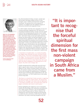### SOUTH ASIAN HISTORY



PROF. DR. GITA DHARAMPAL-FRICK has been Head of the Department of History at the South Asia Institute at the University of Heidelberg since 2002. Before moving to Heidelberg, her scientific career was spent at the Universities of Manchester, Cambridge, Paris (Sorbonne III), Augsburg, Freiburg and Stanford (USA), as well as in India for several research sabbaticals. Her research and writing addresses topics ranging from pre-modern transcultural interactions between Europe and India, to religious and ritual transformations and the socio-cultural and political history of the colonial period. She is particularly interested in Gandhi's movement of political and cultural resurgence.

Contact: dharampal-frick@ sai.uni-heidelberg.de

two other foundational Indian concepts, namely *tapas* (self-sacrifice) and *yagna* (selfless service). In this synergetic union, Gandhi maintained that satyagraha constituted "the greatest force at the disposal of mankind. It is mightier than the mightiest weapon of destruction devised by the ingenuity of man."

So, while Gandhi coined the term satyagraha, he was not creating something completely new. Not only was he reinstating foundational Indian concepts, but more significantly he was reinvigorating the practice of non-violent resistance that he himself proclaimed to be "as old as the hills", with which Indian society had traditionally been familiar but whose public use had been forgotten. In his book *Hind Swaraj*, published in 1909, Gandhi acknowledged being inspired by narratives from his youth of local peasants protesting on the Kathiawar peninsula in western India which, in the second half of the 19th century, was under the regency of local princes and only peripherally touched by colonial policies. Consequently the relationship between ruler and ruled was more balanced, and allowed conflicts to be addressed without resorting to violence, but rather through arbitration and compromise. Gandhi wrote:

"I remember an incident when, in a small principality, the villagers were offended by some command issued by the prince. The former immediately began vacating the village. The prince became nervous, apologised to his subjects and withdrew his command. Many such instances can be found in India. Real home rule is possible only where satyagraha is the guiding force of the people. Any other rule is foreign rule."

Gandhi reinvigorated this traditionally exercised moral right to oppose unjust actions of state authorities and applied it in the context of modern politics and colonialism. He wanted to enhance the power of the people vis-àvis the rulers through the implementation of satyagraha, with the goal of attaining *swaraj* (independence) and, ultimately, world peace. In 1926 Gandhi wrote in the weekly journal *Young India*:

"But there is no doubt that if India succeeds in regaining her liberty through non-violent means, she would have delivered her message to the others who are fighting for it, and what is perhaps more, she would have made the largest contribution yet known to world peace."

Besides highlighting the indigenous roots of satyagraha, Gandhi did acknowledge other authorities and proponents of so-called 'passive resistance' and civil disobedience such as David Thoreau and Leo Tolstoy. However, the inspiration he drew from their writings served primarily to confirm his own convictions, drawn from his cultural inheritance. By closely connecting satyagraha with the

52

"It is important to recognise that the forceful spiritual dimension for the first mass non-violent campaign in South Africa came from a Muslim."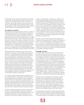### SOUTH ASIAN HISTORY

Christian doctrine of compassion described in the *Sermon on the Mount*, Gandhi wanted to underscore the universal validity and inter-religious appeal of this 'truth-force' or 'soul-force'. But he also aimed to refocus attention on the intrinsic cultural traffic between imperial centres and colonial peripheries in order to help forge links between diverse cultures with the aim of mitigating global conflicts.

#### The making of a visionary

His path to regenerating satyagraha came from a fortuitous combination of circumstance and character. Gandhi was born and raised as the son of a *diwan* (prime minister) in a small princely state in Gujarat, sheltered from the worst effects of colonial rule. His cultural self-assurance, coupled with intellectual curiosity, a spirit of adventure, great willpower and, above all, a strong sense of defiance in the face of injustice, enabled him to 'stand his ground' in an era rife with prejudice, and even strengthen his cultural identity during three years' studying law in London between 1888 and 1891. And soon after, these qualities helped him to secure a job as legal advisor for a Gujarati Muslim business firm in Durban, South Africa, where he landed in May 1893.

While he planned on staying just one year, his time in South Africa turned into a 21-year fight against imperial injustice – a tough apprenticeship that transformed him into a true *satyagrahi*. At several junctures he could have given up and gone home. Perhaps the most infamous incident happened just one week after his arrival. While en route to Pretoria, first-class at the bequest of his client, he was asked to move to the third-class compartment for being a 'coloured' person of Asian origin. After refusing, Gandhi was thrown off the train. Standing in the bitter cold, humiliated and insulted, at the mountain station of Pietermaritzburg, he describes how this personal affront inspired "the most creative night of his life". From then on, he decided to dedicate his attention to far larger issues of racial prejudice, injustice and exploitation affecting 100,000 fellow Indians in South Africa.

In accordance with his deeply engrained principles of justice, and reinforced by a strong sense of racial self-esteem, he was determined to use his legal acumen to eradicate what he termed "the deep disease of colour prejudice". He launched a campaign against the suppression of electoral franchise of Indian merchants in Natal and, in 1894, established the Natal Indian Congress – one of the first political organisations in the world to enroll women and which later served as a model for the African National Congress.

Gandhi also believed strongly in the power of the written word; he coordinated the first ever petition submitted by Indians to the South African government and, in 1903, founded *Indian Opinion*, the first of many journals he launched in Tamil, Hindi, English and Gujarati. Articles –

aimed at a cosmopolitan, non-European audience – discussed emerging changes in global power constellations, in particular the astounding Japanese defeat of Russian military and naval forces, the subsequent Russian Revolution of 1905, and the Swadeshi movement in Bengal, from which he drew lessons for his own political strategy. He also set up his first inter-cultural ashram in Phoenix (near Durban) – a socialist-back-to-nature, and spiritual-pacifist oriented experiment. But far from becoming an ascetic recluse, Gandhi remained in close touch with Indian political developments, as well as with the colonial metropolis, visiting both India and London intermittently on strategic missions of colonial reform.

However, a brutal colonial massacre that took place following the Zulu uprising in Natal in June 1906 shook him to his core. It induced Gandhi – a family man with four sons – to take a vow of *brahmacharya* (celibacy) so that, in his own words, he could devote all his energy to the service of humanity. This change in lifestyle signalled a major shift towards more intense socio-political commitment governed by principles of morality and justice.

#### Campaign for justice

In August 1906, the Transvaal Boer-dominated government, led by Prime Minister Louis Botha and Colonial Secretary Jan Christiaan Smuts, published the draft Asiatic Law Amendment Ordinance, which later became known as the 'Black Act'. It was a humiliating and discriminating law that required Asians to surrender permits to trade, provide fingerprints, and carry a certificate of registration at all times. Its underlying objective was to drastically restrict immigration from India. But this provocation invoked a profound and unexpected response from the people it affected. On 11 September 1906, intent on lobbying against this legislation, Gandhi summoned a meeting at the Jewish Empire Theatre in Johannesburg. He called on the 3,000 Indians present – Hindu and Muslim, 'free' and indentured – to pledge peaceful non-cooperation with the proposed law, irrespective of any penalties they might face.

Writing in his book *Satyagraha in South Africa*, Gandhi describes how a Muslim merchant, Seth Haji Habib, sprang to his feet during the meeting and declared that the resolution must be passed "with God as a witness" and that "Indians would never yield in cowardly submission to such a law". This spiritual commitment on the part of a Muslim caught Gandhi's imagination and he underlined this religious oath with a pledge to non-violence, which all the assembled Indians took most solemnly.

It is important to remember that the forceful spiritual dimension for this first mass non-violent campaign in South Africa came from a Muslim. Indeed, the Islamic influence on Gandhi's definition of satyagraha as a spiritual struggle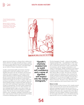"The odd thing about assassins, Dr King, is that they think they've killed you."

Mahatma Gandhi is considered the main protagonist of the Indian independence movement. After his assassination, Gandhi's global influence seemed to intensify.



against structural violence is a feature that is seldom mentioned. However, the image of Gandhi serving as a spokesperson for an inner spiritual *jihad* would revolutionise both our understanding of him as a person, and indeed shake up our clichés of violence being inherent to Islam.

Gandhi's organisational skills and immense charisma enabled him to instill self-confidence and a sense of dignified self-respect into the amorphous and previously submissive Indian immigrants, to unite them in determined opposition to political injustice. Emphasis was placed on remaining open to negotiations and developing friendly relations with the Europeans in South Africa; however the struggle was not easy. In August 1908, General Smuts went back on his word to repeal the 'Black Act', which impelled Gandhi to organise the public burning of more than 2,000 certificates of registration at the Hamidia mosque in Johannesburg. The event evoked comparisons with the Boston Tea party of 1773, when American colonies challenged Britain's right to levy taxes on them, underscoring the politico-historical significance of Gandhi's actions. This was the first of many bonfires during his political career; satyagraha campaigns continued for many years, with numerous setbacks and imprisonments failing The odd thing about assassins,<br>
The King, is that they think they've<br>
Khidayou."<br>
Religion you."<br>
Maharima Garditi is considered<br>
Mahrima Garditi is considered<br>
the moin propaganed of the Indian<br>
The movement of the movem

"Gandhi's charisma enabled him to instill self-confidence and a sense of dignified self-respect into the Indian immigrants."

The first biography of Gandhi – written by the English clergyman Joseph Doke – was published in 1909, which made Gandhi famous beyond South Africa. In the same year, he seized the opportunity to make a powerful political statement, with an unerring commitment to nonviolence in *Hind Swarai*. Widely considered as his political manifesto, and published in Gujarati and English, it was a powerful attack on modern civilisation, colonialism and their adverse effects on India. The book also criticised colonised Indians for wallowing in their victimised role. Gandhi continued to mobilise people using the power of satyagraha and his last years of struggle in South Africa culminated in a march of 2,000 striking miners from Natal to Transvaal. This led to a last, relatively successful, round of negotiations with General Smuts in July 1914.

#### Return to India

Upon his return to India in January 1915, Gandhi received a hero's welcome from the masses who had learned of his dedicated campaigns for justice and now saw him as a *Mahatma* (great soul). However, his reception amongst the political and business elite, somewhat wary of his radical reputation, was more subdued. Whereas colonial authorities were largely ambivalent, many in the British hierarchy expected him to act as a conciliatory mediator. During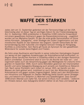GEWALTFREIHEIT ALS BEFREIENDE KRAFT

# WAFFE DER STARKEN

GITA DHARAMPAL-FRICK

Jedes Jahr am 11. September gedenken wir der Terroranschläge auf die USA. Gleichzeitig aber ist dieser Tag ein wichtiges Datum für die Friedensbewegung: Am 11. September 1906 protestierten in Südafrika 3.000 indische Einwanderer mit einem gewaltfreien Aufmarsch gegen die Rassendiskriminierung – angeführt wurden sie von Mahatma Gandhi. Es war die erste große Demonstration im Sinne seines Konzepts "Satyagraha", einer Strategie des zivilen Ungehorsams und des moralischen Appells an das Gewissen des Gegners. Gandhi betrachtete die Völkerverständigung über kulturelle und religiöse Grenzen hinweg als Königsweg, Konflikte zu entschärfen. Sein Name gilt heute als Synonym für den gewaltfreien Widerstand für soziale Gerechtigkeit und Frieden.

Als Sohn eines Kaufmanns wird Gandhi in seiner indischen Heimatregion Gujarat nur wenig mit den negativen Auswirkungen der Kolonialherrschaft konfrontiert, zu Beginn seiner beruflichen Karriere in Südafrika erfährt er den dortigen Rassismus jedoch unmittelbar. Zunehmend setzt er sich für die Rechte der Inder ein – und organisiert dabei auch die Versammlung gegen das Meldegesetz für indische Immigranten im September 1906. Durch seine Aktivitäten gewinnen der Charismatiker Gandhi und seine Satyagraha-Bewegung auch jenseits von Südafrika an Bekanntheit. Nach seiner Rückkehr nach Indien im Januar 1915, wo Gandhi von den Massen als Held gefeiert wird, mobilisiert er auch hier den Widerstand gegen die Kolonialmacht und gegen soziale Ungerechtigkeit. Selbst nach den Atombomben von Hiroshima und Nagasaki im Zweiten Weltkrieg bleibt Gandhi seiner Strategie treu und bekennt sich weiterhin zu Wahrheit und Gewaltlosigkeit. Dass Gandhi 1948 einem Attentat zum Opfer fiel, hat seinen Einfluss noch verstärkt – vielleicht ein Hinweis darauf, dass Satyagraha letztlich stärker ist als Hass und Gewalt.  $\bullet$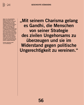PROF. DR. GITA DHARAMPAL-FRICK wurde 2002 an das Südasien-Institut der Universität Heidelberg berufen und leitet dort die Abteilung Geschichte Südasiens. Ihre wissenschaftliche Laufbahn brachte sie von Manchester über Cambridge nach Paris, danach nach Augsburg, Freiburg und Stanford (USA) sowie zu wiederholten Forschungsaufenthalten nach Indien. Im Zentrum ihres Forschungsinteresses stehen unter anderem die transkulturellen Beziehungen zwischen Asien und Europa in der Frühen Neuzeit, religiöse und rituelle Transformationen sowie die sozio-kulturelle und politische Geschichte der Kolonialzeit, insbesondere Mahatma Gandhis Satyagraha-Bewegung.

Kontakt: dharampal-frick@ sai.uni-heidelberg.de

"Mit seinem Charisma gelang es Gandhi, die Menschen von seiner Strategie des zivilen Ungehorsams zu überzeugen und sie im Widerstand gegen politische Ungerechtigkeit zu vereinen."